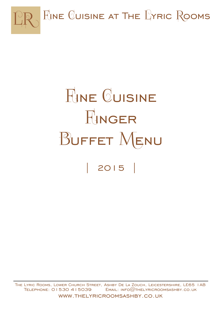

# **FINE CUISINE** RINGER BUFFET MENU | 2015 |

The Lyric Rooms, Lower Church Street, Ashby De La Zouch, Leicestershire, LE65 1AB TELEPHONE:  $01530415039$  EMAIL: INFO $@$ THELYRICROOMSASHBY.CO.UK www.thelyricroomsashby.co.uk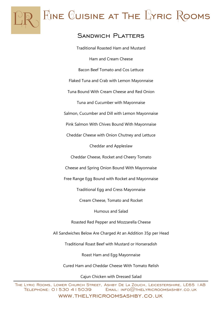

 $F_{JNE}$  Cuisine at The  $L$  $YRIC$  Rooms

#### Sandwich Platters

Traditional Roasted Ham and Mustard Ham and Cream Cheese Bacon Beef Tomato and Cos Lettuce Flaked Tuna and Crab with Lemon Mayonnaise Tuna Bound With Cream Cheese and Red Onion Tuna and Cucumber with Mayonnaise Salmon, Cucumber and Dill with Lemon Mayonnaise Pink Salmon With Chives Bound With Mayonnaise Cheddar Cheese with Onion Chutney and Lettuce Cheddar and Appleslaw Cheddar Cheese, Rocket and Cheery Tomato Cheese and Spring Onion Bound With Mayonnaise Free Range Egg Bound with Rocket and Mayonnaise Traditional Egg and Cress Mayonnaise Cream Cheese, Tomato and Rocket Humous and Salad Roasted Red Pepper and Mozzarella Cheese All Sandwiches Below Are Charged At an Addition 35p per Head Traditional Roast Beef with Mustard or Horseradish

Roast Ham and Egg Mayonnaise

Cured Ham and Cheddar Cheese With Tomato Relish

Cajun Chicken with Dressed Salad

The Lyric Rooms, Lower Church Street, Ashby De La Zouch, Leicestershire, LE65 1AB  $TELEPHONE: O153O 415039$   $EMAIL: INFO@THELYRICROOMSASHBY. CO. UK$ www.thelyricroomsashby.co.uk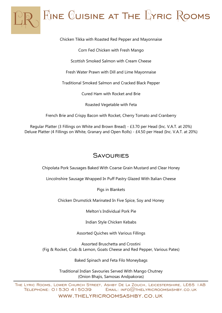

Chicken Tikka with Roasted Red Pepper and Mayonnaise

Corn Fed Chicken with Fresh Mango

Scottish Smoked Salmon with Cream Cheese

Fresh Water Prawn with Dill and Lime Mayonnaise

Traditional Smoked Salmon and Cracked Black Pepper

Cured Ham with Rocket and Brie

Roasted Vegetable with Feta

French Brie and Crispy Bacon with Rocket, Cherry Tomato and Cranberry

Regular Platter (3 Fillings on White and Brown Bread) - £3.70 per Head (Inc. V.A.T. at 20%) Deluxe Platter (4 Fillings on White, Granary and Open Rolls) - £4.50 per Head (Inc. V.A.T. at 20%)

#### **SAVOURIES**

Chipolata Pork Sausages Baked With Coarse Grain Mustard and Clear Honey

Lincolnshire Sausage Wrapped In Puff Pastry Glazed With Italian Cheese

Pigs in Blankets

Chicken Drumstick Marinated In Five Spice, Soy and Honey

Melton's Individual Pork Pie

Indian Style Chicken Kebabs

Assorted Quiches with Various Fillings

Assorted Bruschetta and Crostini (Fig & Rocket, Crab & Lemon, Goats Cheese and Red Pepper, Various Pates)

Baked Spinach and Feta Filo Moneybags

Traditional Indian Savouries Served With Mango Chutney (Onion Bhajis, Samosas Andpakoras)

The Lyric Rooms, Lower Church Street, Ashby De La Zouch, Leicestershire, LE65 1AB  $TELEPHONE: O153O 415039$   $EMAIL: INFO@THELYRICROOMSASHBY. CO. UK$ 

www.thelyricroomsashby.co.uk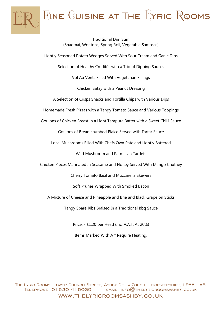

Traditional Dim Sum (Shaomai, Wontons, Spring Roll, Vegetable Samosas) Lightly Seasoned Potato Wedges Served With Sour Cream and Garlic Dips Selection of Healthy Crudités with a Trio of Dipping Sauces Vol Au Vents Filled With Vegetarian Fillings Chicken Satay with a Peanut Dressing A Selection of Crisps Snacks and Tortilla Chips with Various Dips Homemade Fresh Pizzas with a Tangy Tomato Sauce and Various Toppings Goujons of Chicken Breast in a Light Tempura Batter with a Sweet Chilli Sauce Goujons of Bread crumbed Plaice Served with Tartar Sauce Local Mushrooms Filled With Chefs Own Pate and Lightly Battered Wild Mushroom and Parmesan Tartlets Chicken Pieces Marinated In Seasame and Honey Served With Mango Chutney Cherry Tomato Basil and Mozzarella Skewers Soft Prunes Wrapped With Smoked Bacon A Mixture of Cheese and Pineapple and Brie and Black Grape on Sticks Tangy Spare Ribs Braised In a Traditional Bbq Sauce

Price: - £1.20 per Head (Inc. V.A.T. At 20%)

Items Marked With A \* Require Heating.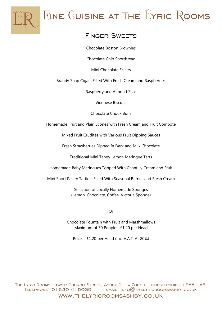

 $F_{JNE}$  Cuisine at The  $L$ Yric Rooms

# Finger Sweets

Chocolate Boston Brownies

Chocolate Chip Shortbread

Mini Chocolate Éclairs

Brandy Snap Cigars Filled With Fresh Cream and Raspberries

Raspberry and Almond Slice

Viennese Biscuits

Chocolate Choux Buns

Homemade Fruit and Plain Scones with Fresh Cream and Fruit Compote

Mixed Fruit Crudités with Various Fruit Dipping Sauces

Fresh Strawberries Dipped In Dark and Milk Chocolate

Traditional Mini Tangy Lemon Meringue Tarts

Homemade Baby Meringues Topped With Chantilly Cream and Fruit

Mini Short Pastry Tartlets Filled With Seasonal Berries and Fresh Cream

Selection of Locally Homemade Sponges (Lemon, Chocolate, Coffee, Victoria Sponge)

Or

Chocolate Fountain with Fruit and Marshmallows Maximum of 30 People - £1.20 per Head

Price: - £1.20 per Head (Inc. V.A.T. At 20%)

The Lyric Rooms, Lower Church Street, Ashby De La Zouch, Leicestershire, LE65 1AB  $TELEPHONE: O153O 415039$   $EMAIL: INFO@THELYRICROOMSASHBY. CO. UK$ www.thelyricroomsashby.co.uk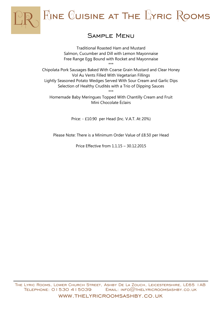

# Sample Menu

Traditional Roasted Ham and Mustard Salmon, Cucumber and Dill with Lemon Mayonnaise Free Range Egg Bound with Rocket and Mayonnaise \*\*\*

Chipolata Pork Sausages Baked With Coarse Grain Mustard and Clear Honey Vol Au Vents Filled With Vegetarian Fillings Lightly Seasoned Potato Wedges Served With Sour Cream and Garlic Dips Selection of Healthy Crudités with a Trio of Dipping Sauces \*\*\*

Homemade Baby Meringues Topped With Chantilly Cream and Fruit Mini Chocolate Éclairs

Price: - £10.90 per Head (Inc. V.A.T. At 20%)

Please Note: There is a Minimum Order Value of £8.50 per Head

Price Effective from 1.1.15 – 30.12.2015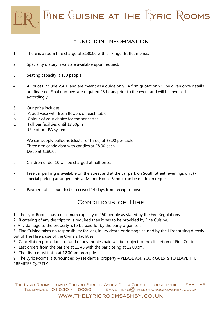$F_{JNE}$  Cuisine at The  $L$  $YRIC$   $R$  $QOMS$ 

## Function Information

- 1. There is a room hire charge of £130.00 with all Finger Buffet menus.
- 2. Speciality dietary meals are available upon request.
- 3. Seating capacity is 150 people.
- 4. All prices include V.A.T. and are meant as a guide only. A firm quotation will be given once details are finalised. Final numbers are required 48 hours prior to the event and will be invoiced accordingly.
- 5. Our price includes:
- a. A bud vase with fresh flowers on each table.
- b. Colour of your choice for the serviettes.
- c. Full bar facilities until 12.00pm
- d. Use of our PA system

We can supply balloons (cluster of three) at £8.00 per table Three arm candelabra with candles at £8.00 each Disco at £180.00.

- 6. Children under 10 will be charged at half price.
- 7. Free car parking is available on the street and at the car park on South Street (evenings only) special parking arrangements at Manor House School can be made on request.
- 8. Payment of account to be received 14 days from receipt of invoice.

### CONDITIONS OF HIRE

- 1. The Lyric Rooms has a maximum capacity of 150 people as stated by the Fire Regulations.
- 2. If catering of any description is required then it has to be provided by Fine Cuisine.
- 3. Any damage to the property is to be paid for by the party organiser.

5. Fine Cuisine takes no responsibility for loss, injury death or damage caused by the Hirer arising directly out of The Hirers use of the Owners facilities.

- 6. Cancellation procedure refund of any monies paid will be subject to the discretion of Fine Cuisine.
- 7. Last orders from the bar are at 11.45 with the bar closing at 12.00pm.
- 8. The disco must finish at 12.00pm promptly.

9. The Lyric Rooms is surrounded by residential property – PLEASE ASK YOUR GUESTS TO LEAVE THE PREMISES QUIETLY.

The Lyric Rooms, Lower Church Street, Ashby De La Zouch, Leicestershire, LE65 1AB TELEPHONE:  $01530415039$  Email:  $INFO@THELYRICROOMSASHBY.CO.UK$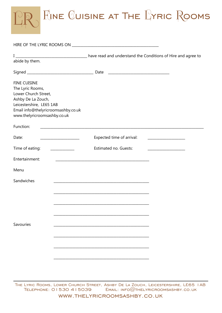

| abide by them.                                                                                                                                                                           |                                                                                                                      |                                                           |                                                         |
|------------------------------------------------------------------------------------------------------------------------------------------------------------------------------------------|----------------------------------------------------------------------------------------------------------------------|-----------------------------------------------------------|---------------------------------------------------------|
|                                                                                                                                                                                          |                                                                                                                      |                                                           |                                                         |
| <b>FINE CUISINE</b><br>The Lyric Rooms,<br>Lower Church Street,<br>Ashby De La Zouch,<br>Leicestershire, LE65 1AB<br>Email info@thelyricroomsashby.co.uk<br>www.thelyricroomsashby.co.uk |                                                                                                                      |                                                           |                                                         |
| Function:                                                                                                                                                                                |                                                                                                                      |                                                           |                                                         |
| Date:                                                                                                                                                                                    | <u> 1989 - Johann Barn, mars eta bainar eta industrial eta espainiar eta espainiar eta espainiar eta espainiar e</u> | Expected time of arrival:                                 |                                                         |
| Time of eating:                                                                                                                                                                          |                                                                                                                      | Estimated no. Guests:                                     | <u> 1980 - Johann Barbara, martin amerikan basar da</u> |
| Entertainment:                                                                                                                                                                           |                                                                                                                      | <u> 1980 - John Stein, Amerikaansk politiker († 1901)</u> |                                                         |
| Menu                                                                                                                                                                                     |                                                                                                                      |                                                           |                                                         |
| Sandwiches                                                                                                                                                                               |                                                                                                                      |                                                           |                                                         |
| Savouries                                                                                                                                                                                |                                                                                                                      |                                                           |                                                         |

The Lyric Rooms, Lower Church Street, Ashby De La Zouch, Leicestershire, LE65 1AB Telephone: 01530 415039 Email: info@thelyricroomsashby.co.uk www.thelyricroomsashby.co.uk